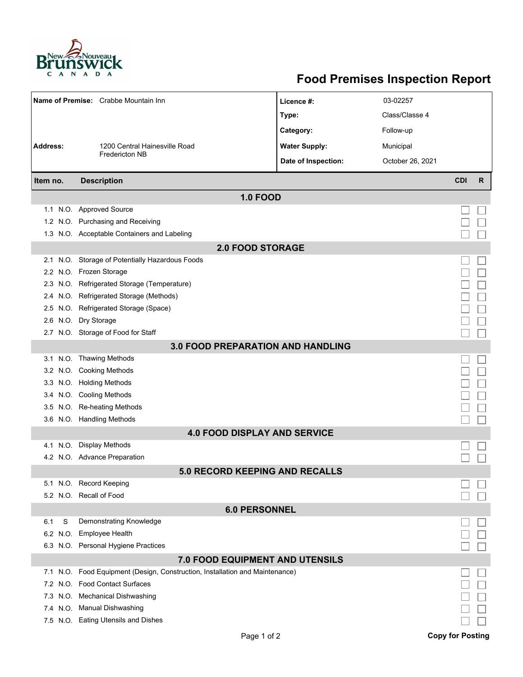

## **Food Premises Inspection Report**

|                                       | Name of Premise: Crabbe Mountain Inn                                     | Licence #:                               | 03-02257         |                         |   |  |  |  |  |  |
|---------------------------------------|--------------------------------------------------------------------------|------------------------------------------|------------------|-------------------------|---|--|--|--|--|--|
|                                       |                                                                          | Type:                                    | Class/Classe 4   |                         |   |  |  |  |  |  |
|                                       |                                                                          | Category:                                | Follow-up        |                         |   |  |  |  |  |  |
| <b>Address:</b>                       | 1200 Central Hainesville Road                                            | <b>Water Supply:</b>                     | Municipal        |                         |   |  |  |  |  |  |
|                                       | <b>Fredericton NB</b>                                                    | Date of Inspection:                      | October 26, 2021 |                         |   |  |  |  |  |  |
|                                       |                                                                          |                                          |                  |                         |   |  |  |  |  |  |
| Item no.                              | <b>Description</b>                                                       |                                          |                  | <b>CDI</b>              | R |  |  |  |  |  |
|                                       |                                                                          | <b>1.0 FOOD</b>                          |                  |                         |   |  |  |  |  |  |
|                                       | 1.1 N.O. Approved Source                                                 |                                          |                  |                         |   |  |  |  |  |  |
|                                       | 1.2 N.O. Purchasing and Receiving                                        |                                          |                  |                         |   |  |  |  |  |  |
|                                       | 1.3 N.O. Acceptable Containers and Labeling                              |                                          |                  |                         |   |  |  |  |  |  |
| <b>2.0 FOOD STORAGE</b>               |                                                                          |                                          |                  |                         |   |  |  |  |  |  |
| 2.1                                   | N.O. Storage of Potentially Hazardous Foods                              |                                          |                  |                         |   |  |  |  |  |  |
|                                       | 2.2 N.O. Frozen Storage                                                  |                                          |                  |                         |   |  |  |  |  |  |
| 2.3                                   | N.O. Refrigerated Storage (Temperature)                                  |                                          |                  |                         |   |  |  |  |  |  |
|                                       | 2.4 N.O. Refrigerated Storage (Methods)                                  |                                          |                  |                         |   |  |  |  |  |  |
|                                       | 2.5 N.O. Refrigerated Storage (Space)                                    |                                          |                  |                         |   |  |  |  |  |  |
| 2.6                                   | N.O. Dry Storage                                                         |                                          |                  |                         |   |  |  |  |  |  |
|                                       | 2.7 N.O. Storage of Food for Staff                                       |                                          |                  |                         |   |  |  |  |  |  |
|                                       |                                                                          | <b>3.0 FOOD PREPARATION AND HANDLING</b> |                  |                         |   |  |  |  |  |  |
|                                       | 3.1 N.O. Thawing Methods                                                 |                                          |                  |                         |   |  |  |  |  |  |
|                                       | 3.2 N.O. Cooking Methods                                                 |                                          |                  |                         |   |  |  |  |  |  |
|                                       | 3.3 N.O. Holding Methods                                                 |                                          |                  |                         |   |  |  |  |  |  |
|                                       | 3.4 N.O. Cooling Methods                                                 |                                          |                  |                         |   |  |  |  |  |  |
| 3.5                                   | N.O. Re-heating Methods                                                  |                                          |                  |                         |   |  |  |  |  |  |
|                                       | 3.6 N.O. Handling Methods                                                |                                          |                  |                         |   |  |  |  |  |  |
| <b>4.0 FOOD DISPLAY AND SERVICE</b>   |                                                                          |                                          |                  |                         |   |  |  |  |  |  |
| N.O.<br>4.1                           | <b>Display Methods</b>                                                   |                                          |                  |                         |   |  |  |  |  |  |
|                                       | 4.2 N.O. Advance Preparation                                             |                                          |                  |                         |   |  |  |  |  |  |
| <b>5.0 RECORD KEEPING AND RECALLS</b> |                                                                          |                                          |                  |                         |   |  |  |  |  |  |
|                                       | 5.1 N.O. Record Keeping                                                  |                                          |                  |                         |   |  |  |  |  |  |
|                                       | 5.2 N.O. Recall of Food                                                  |                                          |                  |                         |   |  |  |  |  |  |
| <b>6.0 PERSONNEL</b>                  |                                                                          |                                          |                  |                         |   |  |  |  |  |  |
| S<br>6.1                              | Demonstrating Knowledge                                                  |                                          |                  |                         |   |  |  |  |  |  |
|                                       | 6.2 N.O. Employee Health                                                 |                                          |                  |                         |   |  |  |  |  |  |
|                                       | 6.3 N.O. Personal Hygiene Practices                                      |                                          |                  |                         |   |  |  |  |  |  |
|                                       |                                                                          | 7.0 FOOD EQUIPMENT AND UTENSILS          |                  |                         |   |  |  |  |  |  |
| 7.1                                   | N.O. Food Equipment (Design, Construction, Installation and Maintenance) |                                          |                  |                         |   |  |  |  |  |  |
| 7.2                                   | N.O. Food Contact Surfaces                                               |                                          |                  |                         |   |  |  |  |  |  |
| 7.3                                   | N.O. Mechanical Dishwashing                                              |                                          |                  |                         |   |  |  |  |  |  |
|                                       | 7.4 N.O. Manual Dishwashing                                              |                                          |                  |                         |   |  |  |  |  |  |
|                                       | 7.5 N.O. Eating Utensils and Dishes                                      |                                          |                  |                         |   |  |  |  |  |  |
|                                       |                                                                          | Page 1 of 2                              |                  | <b>Copy for Posting</b> |   |  |  |  |  |  |